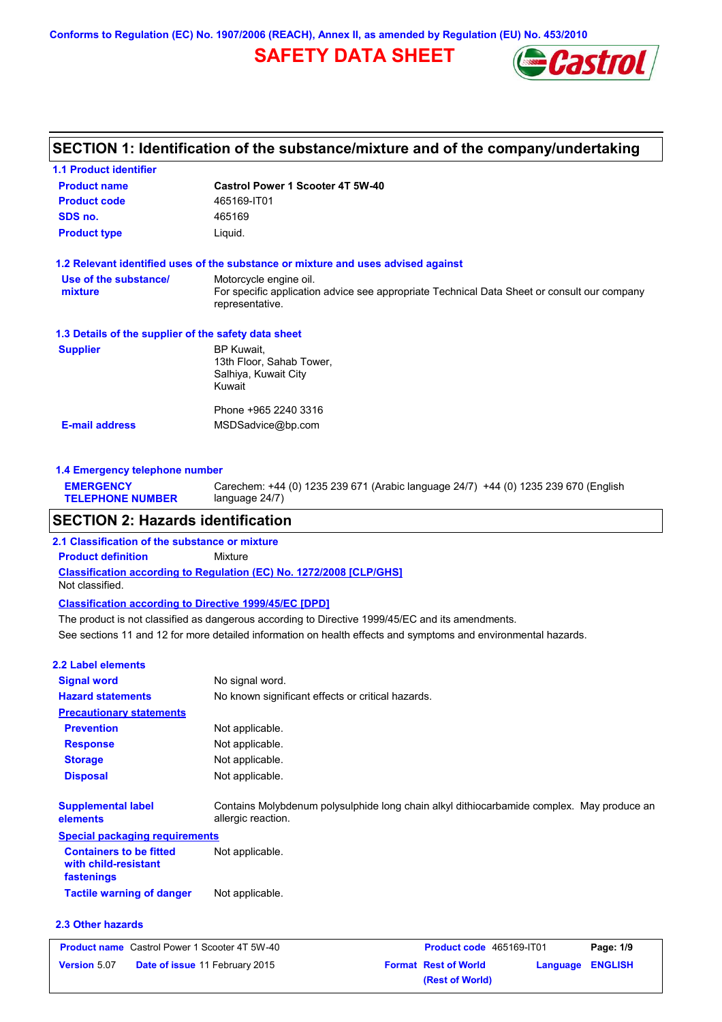**Conforms to Regulation (EC) No. 1907/2006 (REACH), Annex II, as amended by Regulation (EU) No. 453/2010**

# **SAFETY DATA SHEET**



# **SECTION 1: Identification of the substance/mixture and of the company/undertaking**

| <b>1.1 Product identifier</b>                        |                                                                                                                                          |
|------------------------------------------------------|------------------------------------------------------------------------------------------------------------------------------------------|
| <b>Product name</b>                                  | Castrol Power 1 Scooter 4T 5W-40                                                                                                         |
| <b>Product code</b>                                  | 465169-IT01                                                                                                                              |
| SDS no.                                              | 465169                                                                                                                                   |
| <b>Product type</b>                                  | Liquid.                                                                                                                                  |
|                                                      | 1.2 Relevant identified uses of the substance or mixture and uses advised against                                                        |
| Use of the substance/<br>mixture                     | Motorcycle engine oil.<br>For specific application advice see appropriate Technical Data Sheet or consult our company<br>representative. |
| 1.3 Details of the supplier of the safety data sheet |                                                                                                                                          |
| <b>Supplier</b>                                      | BP Kuwait,<br>13th Floor, Sahab Tower,<br>Salhiya, Kuwait City<br>Kuwait                                                                 |
|                                                      | Phone +965 2240 3316                                                                                                                     |
| <b>E-mail address</b>                                | MSDSadvice@bp.com                                                                                                                        |
|                                                      |                                                                                                                                          |

**1.4 Emergency telephone number EMERGENCY TELEPHONE NUMBER** Carechem: +44 (0) 1235 239 671 (Arabic language 24/7) +44 (0) 1235 239 670 (English language 24/7)

#### **SECTION 2: Hazards identification**

**Classification according to Regulation (EC) No. 1272/2008 [CLP/GHS] 2.1 Classification of the substance or mixture Product definition** Mixture Not classified.

**Classification according to Directive 1999/45/EC [DPD]**

See sections 11 and 12 for more detailed information on health effects and symptoms and environmental hazards. The product is not classified as dangerous according to Directive 1999/45/EC and its amendments.

| 2.2 Label elements                                                   |                                                                                                                 |
|----------------------------------------------------------------------|-----------------------------------------------------------------------------------------------------------------|
| <b>Signal word</b>                                                   | No signal word.                                                                                                 |
| <b>Hazard statements</b>                                             | No known significant effects or critical hazards.                                                               |
| <b>Precautionary statements</b>                                      |                                                                                                                 |
| <b>Prevention</b>                                                    | Not applicable.                                                                                                 |
| <b>Response</b>                                                      | Not applicable.                                                                                                 |
| <b>Storage</b>                                                       | Not applicable.                                                                                                 |
| <b>Disposal</b>                                                      | Not applicable.                                                                                                 |
| <b>Supplemental label</b><br>elements                                | Contains Molybdenum polysulphide long chain alkyl dithiocarbamide complex. May produce an<br>allergic reaction. |
| <b>Special packaging requirements</b>                                |                                                                                                                 |
| <b>Containers to be fitted</b><br>with child-resistant<br>fastenings | Not applicable.                                                                                                 |
| <b>Tactile warning of danger</b>                                     | Not applicable.                                                                                                 |
| 2.3 Other hazards                                                    |                                                                                                                 |

**Product name** Castrol Power 1 Scooter 4T 5W-40 **Product code** 465169-IT01 **Page: 1/9 Version** 5.07 **Date of issue** 11 February 2015 **Format Rest of World Language ENGLISH (Rest of World)**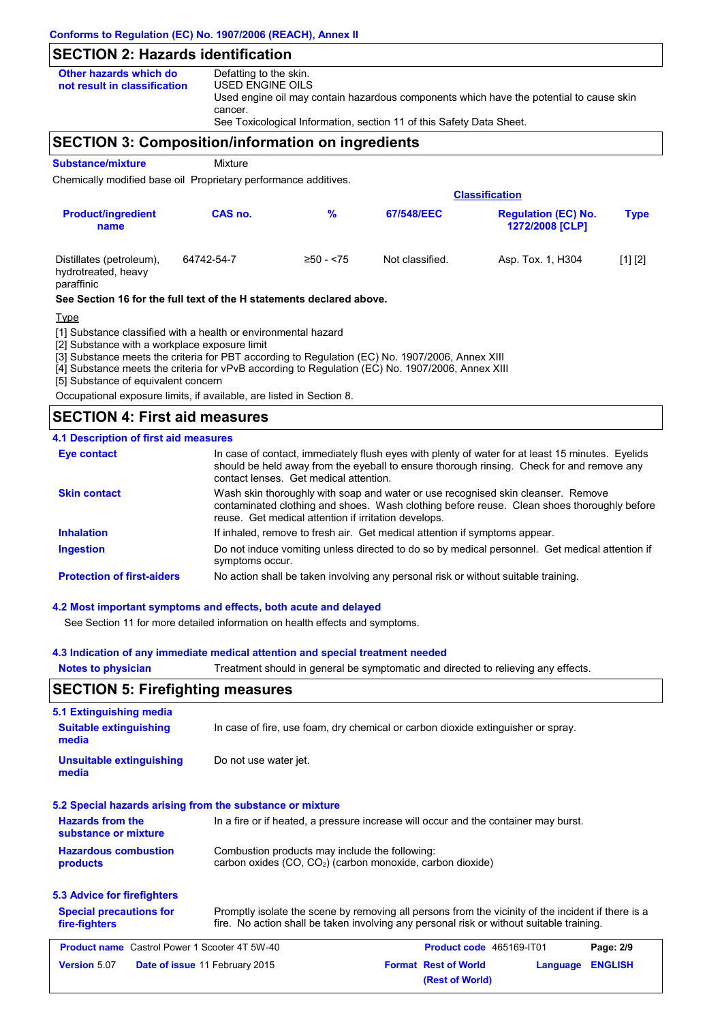# **SECTION 2: Hazards identification**

| Other hazards which do       | Defatting to the skin.                                                                  |
|------------------------------|-----------------------------------------------------------------------------------------|
| not result in classification | USED ENGINE OILS                                                                        |
|                              | Used engine oil may contain hazardous components which have the potential to cause skin |
|                              | cancer.                                                                                 |
|                              | See Toxicological Information, section 11 of this Safety Data Sheet.                    |

## **SECTION 3: Composition/information on ingredients**

**Substance/mixture Mixture** 

Chemically modified base oil Proprietary performance additives.

| <b>Classification</b>                                         |            |              |                 |                                                      |             |  |
|---------------------------------------------------------------|------------|--------------|-----------------|------------------------------------------------------|-------------|--|
| <b>Product/ingredient</b><br>name                             | CAS no.    | %            | 67/548/EEC      | <b>Regulation (EC) No.</b><br><b>1272/2008 [CLP]</b> | <b>Type</b> |  |
| Distillates (petroleum),<br>hydrotreated, heavy<br>paraffinic | 64742-54-7 | $≥50 - < 75$ | Not classified. | Asp. Tox. 1, H304                                    | [1] [2]     |  |

**See Section 16 for the full text of the H statements declared above.**

#### Type

[1] Substance classified with a health or environmental hazard

[2] Substance with a workplace exposure limit

[3] Substance meets the criteria for PBT according to Regulation (EC) No. 1907/2006, Annex XIII

[4] Substance meets the criteria for vPvB according to Regulation (EC) No. 1907/2006, Annex XIII

[5] Substance of equivalent concern

Occupational exposure limits, if available, are listed in Section 8.

## **SECTION 4: First aid measures**

#### **4.1 Description of first aid measures**

| Eye contact                       | In case of contact, immediately flush eyes with plenty of water for at least 15 minutes. Eyelids<br>should be held away from the eyeball to ensure thorough rinsing. Check for and remove any<br>contact lenses. Get medical attention. |
|-----------------------------------|-----------------------------------------------------------------------------------------------------------------------------------------------------------------------------------------------------------------------------------------|
| <b>Skin contact</b>               | Wash skin thoroughly with soap and water or use recognised skin cleanser. Remove<br>contaminated clothing and shoes. Wash clothing before reuse. Clean shoes thoroughly before<br>reuse. Get medical attention if irritation develops.  |
| <b>Inhalation</b>                 | If inhaled, remove to fresh air. Get medical attention if symptoms appear.                                                                                                                                                              |
| <b>Ingestion</b>                  | Do not induce vomiting unless directed to do so by medical personnel. Get medical attention if<br>symptoms occur.                                                                                                                       |
| <b>Protection of first-aiders</b> | No action shall be taken involving any personal risk or without suitable training.                                                                                                                                                      |

#### **4.2 Most important symptoms and effects, both acute and delayed**

See Section 11 for more detailed information on health effects and symptoms.

#### **4.3 Indication of any immediate medical attention and special treatment needed**

| <b>Notes to physician</b>                                 | Treatment should in general be symptomatic and directed to relieving any effects.                                                                                                              |  |  |  |
|-----------------------------------------------------------|------------------------------------------------------------------------------------------------------------------------------------------------------------------------------------------------|--|--|--|
| <b>SECTION 5: Firefighting measures</b>                   |                                                                                                                                                                                                |  |  |  |
| 5.1 Extinguishing media                                   |                                                                                                                                                                                                |  |  |  |
| <b>Suitable extinguishing</b><br>media                    | In case of fire, use foam, dry chemical or carbon dioxide extinguisher or spray.                                                                                                               |  |  |  |
| <b>Unsuitable extinguishing</b><br>media                  | Do not use water jet.                                                                                                                                                                          |  |  |  |
| 5.2 Special hazards arising from the substance or mixture |                                                                                                                                                                                                |  |  |  |
| <b>Hazards from the</b><br>substance or mixture           | In a fire or if heated, a pressure increase will occur and the container may burst.                                                                                                            |  |  |  |
| <b>Hazardous combustion</b><br>products                   | Combustion products may include the following:<br>carbon oxides (CO, CO <sub>2</sub> ) (carbon monoxide, carbon dioxide)                                                                       |  |  |  |
| 5.3 Advice for firefighters                               |                                                                                                                                                                                                |  |  |  |
| <b>Special precautions for</b><br>fire-fighters           | Promptly isolate the scene by removing all persons from the vicinity of the incident if there is a<br>fire. No action shall be taken involving any personal risk or without suitable training. |  |  |  |
| <b>Product name</b> Castrol Power 1 Scooter 4T 5W-40      | Product code 465169-IT01<br>Page: 2/9                                                                                                                                                          |  |  |  |
| <b>Version 5.07</b>                                       | <b>ENGLISH</b><br>Date of issue 11 February 2015<br><b>Format Rest of World</b><br>Language<br>(Rest of World)                                                                                 |  |  |  |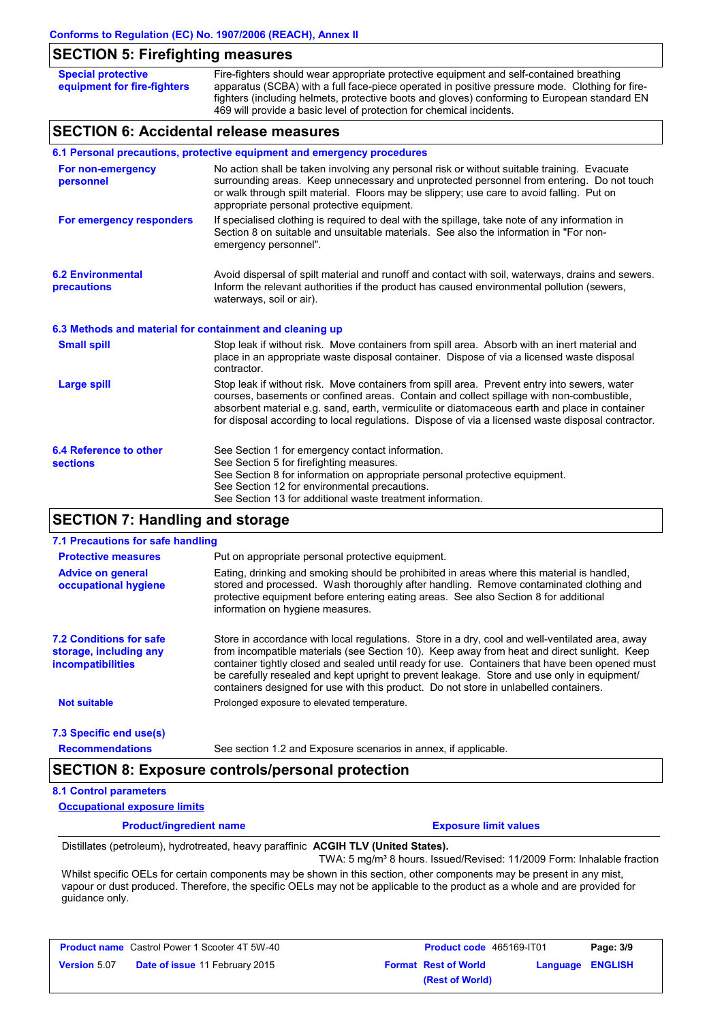## **SECTION 5: Firefighting measures**

| <b>Special protective</b><br>equipment for fire-fighters                | Fire-fighters should wear appropriate protective equipment and self-contained breathing<br>apparatus (SCBA) with a full face-piece operated in positive pressure mode. Clothing for fire-<br>fighters (including helmets, protective boots and gloves) conforming to European standard EN<br>469 will provide a basic level of protection for chemical incidents. |  |  |  |
|-------------------------------------------------------------------------|-------------------------------------------------------------------------------------------------------------------------------------------------------------------------------------------------------------------------------------------------------------------------------------------------------------------------------------------------------------------|--|--|--|
| <b>SECTION 6: Accidental release measures</b>                           |                                                                                                                                                                                                                                                                                                                                                                   |  |  |  |
| 6.1 Personal precautions, protective equipment and emergency procedures |                                                                                                                                                                                                                                                                                                                                                                   |  |  |  |
| For non-emergency                                                       | No action shall be taken involving any personal risk or without suitable training. Evacuate                                                                                                                                                                                                                                                                       |  |  |  |

| For non-emergency<br>personnel                           | No action shall be taken involving any personal risk or without suitable training. Evacuate<br>surrounding areas. Keep unnecessary and unprotected personnel from entering. Do not touch<br>or walk through spilt material. Floors may be slippery; use care to avoid falling. Put on<br>appropriate personal protective equipment.                                                            |
|----------------------------------------------------------|------------------------------------------------------------------------------------------------------------------------------------------------------------------------------------------------------------------------------------------------------------------------------------------------------------------------------------------------------------------------------------------------|
| For emergency responders                                 | If specialised clothing is required to deal with the spillage, take note of any information in<br>Section 8 on suitable and unsuitable materials. See also the information in "For non-<br>emergency personnel".                                                                                                                                                                               |
| <b>6.2 Environmental</b><br>precautions                  | Avoid dispersal of spilt material and runoff and contact with soil, waterways, drains and sewers.<br>Inform the relevant authorities if the product has caused environmental pollution (sewers,<br>waterways, soil or air).                                                                                                                                                                    |
| 6.3 Methods and material for containment and cleaning up |                                                                                                                                                                                                                                                                                                                                                                                                |
| <b>Small spill</b>                                       | Stop leak if without risk. Move containers from spill area. Absorb with an inert material and<br>place in an appropriate waste disposal container. Dispose of via a licensed waste disposal<br>contractor.                                                                                                                                                                                     |
| <b>Large spill</b>                                       | Stop leak if without risk. Move containers from spill area. Prevent entry into sewers, water<br>courses, basements or confined areas. Contain and collect spillage with non-combustible.<br>absorbent material e.g. sand, earth, vermiculite or diatomaceous earth and place in container<br>for disposal according to local regulations. Dispose of via a licensed waste disposal contractor. |
| 6.4 Reference to other<br><b>sections</b>                | See Section 1 for emergency contact information.<br>See Section 5 for firefighting measures.<br>See Section 8 for information on appropriate personal protective equipment.<br>See Section 12 for environmental precautions.<br>See Section 13 for additional waste treatment information.                                                                                                     |

# **SECTION 7: Handling and storage**

| 7.1 Precautions for safe handling                                                    |                                                                                                                                                                                                                                                                                                                                                                                                                                                                                          |
|--------------------------------------------------------------------------------------|------------------------------------------------------------------------------------------------------------------------------------------------------------------------------------------------------------------------------------------------------------------------------------------------------------------------------------------------------------------------------------------------------------------------------------------------------------------------------------------|
| <b>Protective measures</b>                                                           | Put on appropriate personal protective equipment.                                                                                                                                                                                                                                                                                                                                                                                                                                        |
| <b>Advice on general</b><br>occupational hygiene                                     | Eating, drinking and smoking should be prohibited in areas where this material is handled.<br>stored and processed. Wash thoroughly after handling. Remove contaminated clothing and<br>protective equipment before entering eating areas. See also Section 8 for additional<br>information on hygiene measures.                                                                                                                                                                         |
| <b>7.2 Conditions for safe</b><br>storage, including any<br><b>incompatibilities</b> | Store in accordance with local regulations. Store in a dry, cool and well-ventilated area, away<br>from incompatible materials (see Section 10). Keep away from heat and direct sunlight. Keep<br>container tightly closed and sealed until ready for use. Containers that have been opened must<br>be carefully resealed and kept upright to prevent leakage. Store and use only in equipment/<br>containers designed for use with this product. Do not store in unlabelled containers. |
| <b>Not suitable</b>                                                                  | Prolonged exposure to elevated temperature.                                                                                                                                                                                                                                                                                                                                                                                                                                              |
| 7.3 Specific end use(s)                                                              |                                                                                                                                                                                                                                                                                                                                                                                                                                                                                          |
| <b>Recommendations</b>                                                               | See section 1.2 and Exposure scenarios in annex, if applicable.                                                                                                                                                                                                                                                                                                                                                                                                                          |

#### **8.1 Control parameters**

**Occupational exposure limits**

**Product/ingredient name Exposure limit values**

Distillates (petroleum), hydrotreated, heavy paraffinic **ACGIH TLV (United States).** TWA: 5 mg/m<sup>3</sup> 8 hours. Issued/Revised: 11/2009 Form: Inhalable fraction

Whilst specific OELs for certain components may be shown in this section, other components may be present in any mist, vapour or dust produced. Therefore, the specific OELs may not be applicable to the product as a whole and are provided for guidance only.

|                     | <b>Product name</b> Castrol Power 1 Scooter 4T 5W-40 |
|---------------------|------------------------------------------------------|
| <b>Version 5.07</b> | Date of issue 11 February 2015                       |

| Castrol Power 1 Scooter 4T 5W-40      | <b>Product code</b> 465169-IT01 |                         | Page: 3/9 |
|---------------------------------------|---------------------------------|-------------------------|-----------|
| <b>Date of issue 11 February 2015</b> | <b>Format Rest of World</b>     | <b>Language ENGLISH</b> |           |
|                                       | (Rest of World)                 |                         |           |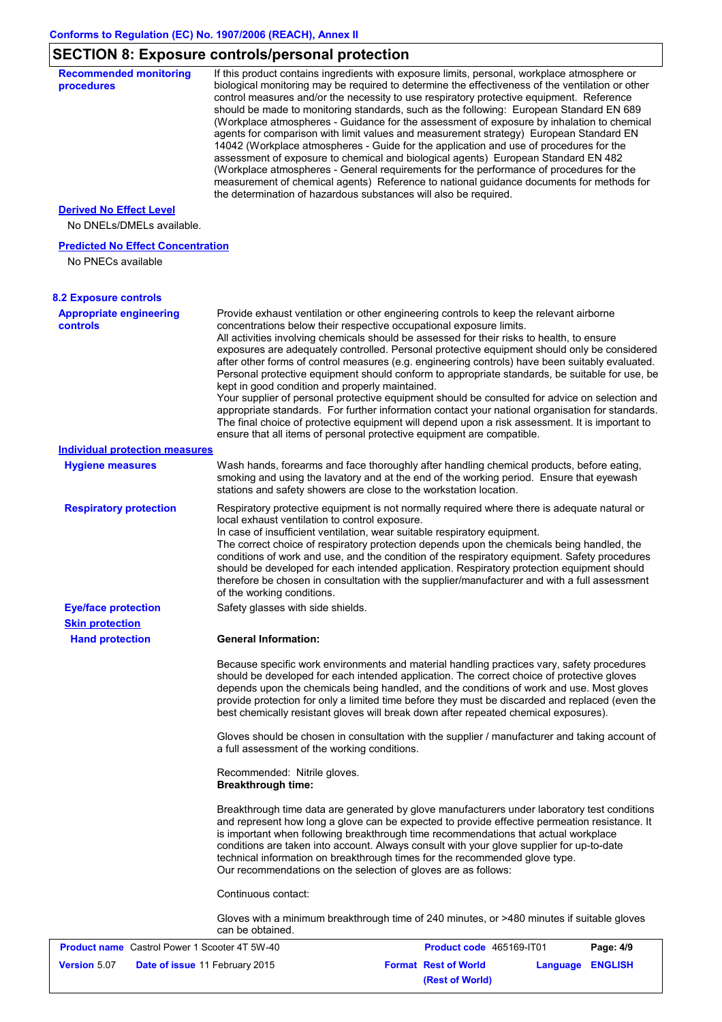# **SECTION 8: Exposure controls/personal protection**

| <b>Recommended monitoring</b><br>procedures                    | If this product contains ingredients with exposure limits, personal, workplace atmosphere or<br>biological monitoring may be required to determine the effectiveness of the ventilation or other<br>control measures and/or the necessity to use respiratory protective equipment. Reference<br>should be made to monitoring standards, such as the following: European Standard EN 689                                                                                                                                                                                                                                                                                                                                                                                                                                                                                                                                       |                             |          |                |
|----------------------------------------------------------------|-------------------------------------------------------------------------------------------------------------------------------------------------------------------------------------------------------------------------------------------------------------------------------------------------------------------------------------------------------------------------------------------------------------------------------------------------------------------------------------------------------------------------------------------------------------------------------------------------------------------------------------------------------------------------------------------------------------------------------------------------------------------------------------------------------------------------------------------------------------------------------------------------------------------------------|-----------------------------|----------|----------------|
|                                                                | (Workplace atmospheres - Guidance for the assessment of exposure by inhalation to chemical<br>agents for comparison with limit values and measurement strategy) European Standard EN<br>14042 (Workplace atmospheres - Guide for the application and use of procedures for the<br>assessment of exposure to chemical and biological agents) European Standard EN 482<br>(Workplace atmospheres - General requirements for the performance of procedures for the<br>measurement of chemical agents) Reference to national guidance documents for methods for<br>the determination of hazardous substances will also be required.                                                                                                                                                                                                                                                                                               |                             |          |                |
| <b>Derived No Effect Level</b>                                 |                                                                                                                                                                                                                                                                                                                                                                                                                                                                                                                                                                                                                                                                                                                                                                                                                                                                                                                               |                             |          |                |
| No DNELs/DMELs available.                                      |                                                                                                                                                                                                                                                                                                                                                                                                                                                                                                                                                                                                                                                                                                                                                                                                                                                                                                                               |                             |          |                |
| <b>Predicted No Effect Concentration</b><br>No PNECs available |                                                                                                                                                                                                                                                                                                                                                                                                                                                                                                                                                                                                                                                                                                                                                                                                                                                                                                                               |                             |          |                |
| <b>8.2 Exposure controls</b>                                   |                                                                                                                                                                                                                                                                                                                                                                                                                                                                                                                                                                                                                                                                                                                                                                                                                                                                                                                               |                             |          |                |
| <b>Appropriate engineering</b><br><b>controls</b>              | Provide exhaust ventilation or other engineering controls to keep the relevant airborne<br>concentrations below their respective occupational exposure limits.<br>All activities involving chemicals should be assessed for their risks to health, to ensure<br>exposures are adequately controlled. Personal protective equipment should only be considered<br>after other forms of control measures (e.g. engineering controls) have been suitably evaluated.<br>Personal protective equipment should conform to appropriate standards, be suitable for use, be<br>kept in good condition and properly maintained.<br>Your supplier of personal protective equipment should be consulted for advice on selection and<br>appropriate standards. For further information contact your national organisation for standards.<br>The final choice of protective equipment will depend upon a risk assessment. It is important to |                             |          |                |
|                                                                | ensure that all items of personal protective equipment are compatible.                                                                                                                                                                                                                                                                                                                                                                                                                                                                                                                                                                                                                                                                                                                                                                                                                                                        |                             |          |                |
| <b>Individual protection measures</b>                          |                                                                                                                                                                                                                                                                                                                                                                                                                                                                                                                                                                                                                                                                                                                                                                                                                                                                                                                               |                             |          |                |
| <b>Hygiene measures</b>                                        | Wash hands, forearms and face thoroughly after handling chemical products, before eating,<br>smoking and using the lavatory and at the end of the working period. Ensure that eyewash<br>stations and safety showers are close to the workstation location.                                                                                                                                                                                                                                                                                                                                                                                                                                                                                                                                                                                                                                                                   |                             |          |                |
| <b>Respiratory protection</b>                                  | Respiratory protective equipment is not normally required where there is adequate natural or<br>local exhaust ventilation to control exposure.<br>In case of insufficient ventilation, wear suitable respiratory equipment.<br>The correct choice of respiratory protection depends upon the chemicals being handled, the<br>conditions of work and use, and the condition of the respiratory equipment. Safety procedures<br>should be developed for each intended application. Respiratory protection equipment should<br>therefore be chosen in consultation with the supplier/manufacturer and with a full assessment<br>of the working conditions.                                                                                                                                                                                                                                                                       |                             |          |                |
| <b>Eye/face protection</b>                                     | Safety glasses with side shields.                                                                                                                                                                                                                                                                                                                                                                                                                                                                                                                                                                                                                                                                                                                                                                                                                                                                                             |                             |          |                |
| <b>Skin protection</b>                                         |                                                                                                                                                                                                                                                                                                                                                                                                                                                                                                                                                                                                                                                                                                                                                                                                                                                                                                                               |                             |          |                |
| <b>Hand protection</b>                                         | <b>General Information:</b>                                                                                                                                                                                                                                                                                                                                                                                                                                                                                                                                                                                                                                                                                                                                                                                                                                                                                                   |                             |          |                |
|                                                                | Because specific work environments and material handling practices vary, safety procedures<br>should be developed for each intended application. The correct choice of protective gloves<br>depends upon the chemicals being handled, and the conditions of work and use. Most gloves<br>provide protection for only a limited time before they must be discarded and replaced (even the<br>best chemically resistant gloves will break down after repeated chemical exposures).                                                                                                                                                                                                                                                                                                                                                                                                                                              |                             |          |                |
|                                                                | Gloves should be chosen in consultation with the supplier / manufacturer and taking account of<br>a full assessment of the working conditions.                                                                                                                                                                                                                                                                                                                                                                                                                                                                                                                                                                                                                                                                                                                                                                                |                             |          |                |
|                                                                | Recommended: Nitrile gloves.<br><b>Breakthrough time:</b>                                                                                                                                                                                                                                                                                                                                                                                                                                                                                                                                                                                                                                                                                                                                                                                                                                                                     |                             |          |                |
|                                                                | Breakthrough time data are generated by glove manufacturers under laboratory test conditions<br>and represent how long a glove can be expected to provide effective permeation resistance. It<br>is important when following breakthrough time recommendations that actual workplace<br>conditions are taken into account. Always consult with your glove supplier for up-to-date<br>technical information on breakthrough times for the recommended glove type.<br>Our recommendations on the selection of gloves are as follows:                                                                                                                                                                                                                                                                                                                                                                                            |                             |          |                |
|                                                                | Continuous contact:                                                                                                                                                                                                                                                                                                                                                                                                                                                                                                                                                                                                                                                                                                                                                                                                                                                                                                           |                             |          |                |
|                                                                | Gloves with a minimum breakthrough time of 240 minutes, or >480 minutes if suitable gloves<br>can be obtained.                                                                                                                                                                                                                                                                                                                                                                                                                                                                                                                                                                                                                                                                                                                                                                                                                |                             |          |                |
| <b>Product name</b> Castrol Power 1 Scooter 4T 5W-40           |                                                                                                                                                                                                                                                                                                                                                                                                                                                                                                                                                                                                                                                                                                                                                                                                                                                                                                                               | Product code 465169-IT01    |          | Page: 4/9      |
| <b>Version 5.07</b><br>Date of issue 11 February 2015          |                                                                                                                                                                                                                                                                                                                                                                                                                                                                                                                                                                                                                                                                                                                                                                                                                                                                                                                               | <b>Format Rest of World</b> | Language | <b>ENGLISH</b> |

**(Rest of World)**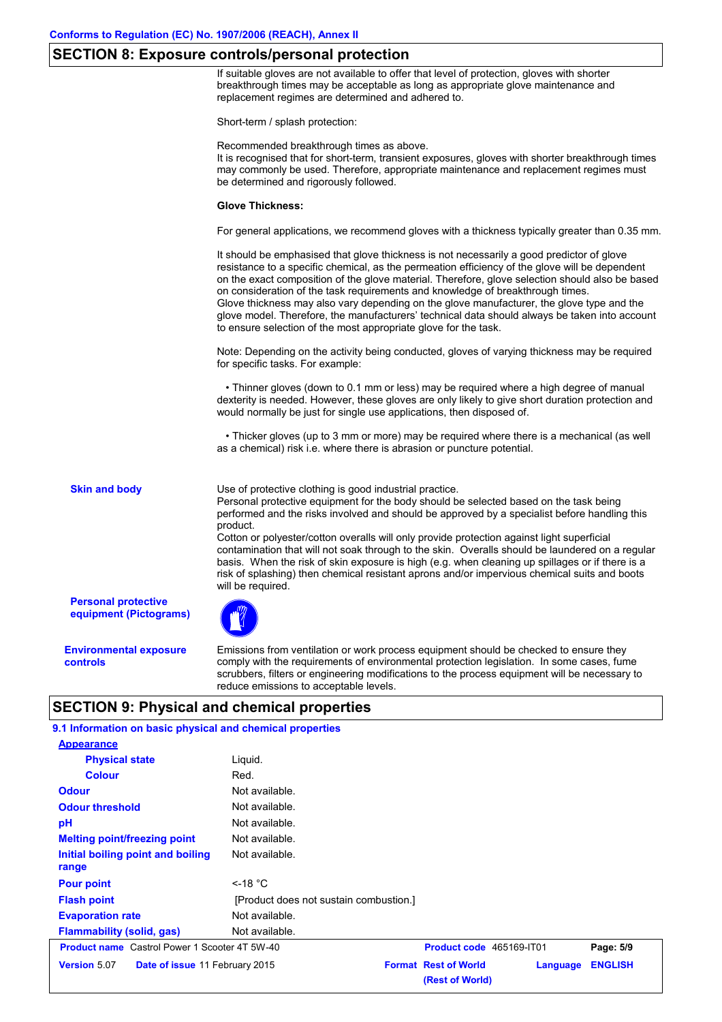#### **SECTION 8: Exposure controls/personal protection**

If suitable gloves are not available to offer that level of protection, gloves with shorter breakthrough times may be acceptable as long as appropriate glove maintenance and replacement regimes are determined and adhered to.

Short-term / splash protection:

Recommended breakthrough times as above.

It is recognised that for short-term, transient exposures, gloves with shorter breakthrough times may commonly be used. Therefore, appropriate maintenance and replacement regimes must be determined and rigorously followed.

#### **Glove Thickness:**

For general applications, we recommend gloves with a thickness typically greater than 0.35 mm.

It should be emphasised that glove thickness is not necessarily a good predictor of glove resistance to a specific chemical, as the permeation efficiency of the glove will be dependent on the exact composition of the glove material. Therefore, glove selection should also be based on consideration of the task requirements and knowledge of breakthrough times. Glove thickness may also vary depending on the glove manufacturer, the glove type and the glove model. Therefore, the manufacturers' technical data should always be taken into account to ensure selection of the most appropriate glove for the task.

Note: Depending on the activity being conducted, gloves of varying thickness may be required for specific tasks. For example:

 • Thinner gloves (down to 0.1 mm or less) may be required where a high degree of manual dexterity is needed. However, these gloves are only likely to give short duration protection and would normally be just for single use applications, then disposed of.

 • Thicker gloves (up to 3 mm or more) may be required where there is a mechanical (as well as a chemical) risk i.e. where there is abrasion or puncture potential.

**Skin and body**

Use of protective clothing is good industrial practice.

Personal protective equipment for the body should be selected based on the task being performed and the risks involved and should be approved by a specialist before handling this product.

Cotton or polyester/cotton overalls will only provide protection against light superficial contamination that will not soak through to the skin. Overalls should be laundered on a regular basis. When the risk of skin exposure is high (e.g. when cleaning up spillages or if there is a risk of splashing) then chemical resistant aprons and/or impervious chemical suits and boots will be required.

**Personal protective equipment (Pictograms)**

**Environmental exposure controls**

Emissions from ventilation or work process equipment should be checked to ensure they comply with the requirements of environmental protection legislation. In some cases, fume scrubbers, filters or engineering modifications to the process equipment will be necessary to reduce emissions to acceptable levels.

#### **SECTION 9: Physical and chemical properties**

Not available. **Physical state Melting point/freezing point Initial boiling point and boiling range** Liquid. Not available. **Odour** Not available. **pH Colour** Red. **Evaporation rate** Not available. **Flash point** [Product does not sustain combustion.] Not available. **Odour threshold** Not available. **9.1 Information on basic physical and chemical properties Appearance Flammability (solid, gas)** Not available **Pour point** <-18 °C **Product name** Castrol Power 1 Scooter 4T 5W-40 **Product code** 465169-IT01 **Page: 5/9 Version** 5.07 **Date of issue** 11 February 2015 **Format Rest of World Language ENGLISH (Rest of World)**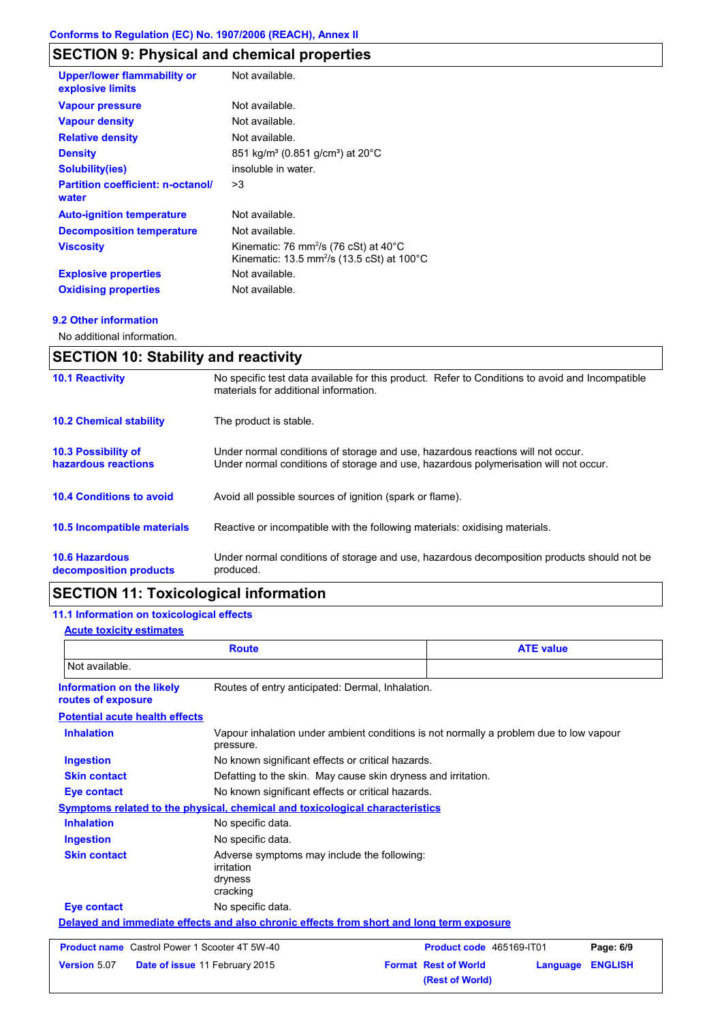# **SECTION 9: Physical and chemical properties**

| <b>Upper/lower flammability or</b><br>explosive limits | Not available.                                                                                                                   |
|--------------------------------------------------------|----------------------------------------------------------------------------------------------------------------------------------|
| <b>Vapour pressure</b>                                 | Not available.                                                                                                                   |
| <b>Vapour density</b>                                  | Not available.                                                                                                                   |
| <b>Relative density</b>                                | Not available.                                                                                                                   |
| <b>Density</b>                                         | 851 kg/m <sup>3</sup> (0.851 g/cm <sup>3</sup> ) at 20 <sup>°</sup> C                                                            |
| Solubility(ies)                                        | insoluble in water.                                                                                                              |
| <b>Partition coefficient: n-octanol/</b><br>water      | >3                                                                                                                               |
| <b>Auto-ignition temperature</b>                       | Not available.                                                                                                                   |
| <b>Decomposition temperature</b>                       | Not available.                                                                                                                   |
| <b>Viscosity</b>                                       | Kinematic: 76 mm <sup>2</sup> /s (76 cSt) at $40^{\circ}$ C<br>Kinematic: 13.5 mm <sup>2</sup> /s (13.5 cSt) at 100 $^{\circ}$ C |
| <b>Explosive properties</b>                            | Not available.                                                                                                                   |
| <b>Oxidising properties</b>                            | Not available.                                                                                                                   |
|                                                        |                                                                                                                                  |

#### **9.2 Other information**

No additional information.

| <b>SECTION 10: Stability and reactivity</b>       |                                                                                                                                                                         |  |
|---------------------------------------------------|-------------------------------------------------------------------------------------------------------------------------------------------------------------------------|--|
| <b>10.1 Reactivity</b>                            | No specific test data available for this product. Refer to Conditions to avoid and Incompatible<br>materials for additional information.                                |  |
| <b>10.2 Chemical stability</b>                    | The product is stable.                                                                                                                                                  |  |
| <b>10.3 Possibility of</b><br>hazardous reactions | Under normal conditions of storage and use, hazardous reactions will not occur.<br>Under normal conditions of storage and use, hazardous polymerisation will not occur. |  |
| <b>10.4 Conditions to avoid</b>                   | Avoid all possible sources of ignition (spark or flame).                                                                                                                |  |
| <b>10.5 Incompatible materials</b>                | Reactive or incompatible with the following materials: oxidising materials.                                                                                             |  |
| <b>10.6 Hazardous</b><br>decomposition products   | Under normal conditions of storage and use, hazardous decomposition products should not be<br>produced.                                                                 |  |

# **SECTION 11: Toxicological information**

#### **11.1 Information on toxicological effects**

#### **Acute toxicity estimates**

| <b>Route</b>                                         |                                                                                          | <b>ATE value</b>                                                                       |                                                |          |                |
|------------------------------------------------------|------------------------------------------------------------------------------------------|----------------------------------------------------------------------------------------|------------------------------------------------|----------|----------------|
| Not available.                                       |                                                                                          |                                                                                        |                                                |          |                |
| Information on the likely<br>routes of exposure      | Routes of entry anticipated: Dermal, Inhalation.                                         |                                                                                        |                                                |          |                |
| <b>Potential acute health effects</b>                |                                                                                          |                                                                                        |                                                |          |                |
| <b>Inhalation</b>                                    | pressure.                                                                                | Vapour inhalation under ambient conditions is not normally a problem due to low vapour |                                                |          |                |
| <b>Ingestion</b>                                     | No known significant effects or critical hazards.                                        |                                                                                        |                                                |          |                |
| <b>Skin contact</b>                                  |                                                                                          | Defatting to the skin. May cause skin dryness and irritation.                          |                                                |          |                |
| Eye contact                                          | No known significant effects or critical hazards.                                        |                                                                                        |                                                |          |                |
|                                                      | <b>Symptoms related to the physical, chemical and toxicological characteristics</b>      |                                                                                        |                                                |          |                |
| <b>Inhalation</b>                                    | No specific data.                                                                        |                                                                                        |                                                |          |                |
| <b>Ingestion</b>                                     | No specific data.                                                                        |                                                                                        |                                                |          |                |
| <b>Skin contact</b>                                  | Adverse symptoms may include the following:<br>irritation<br>dryness<br>cracking         |                                                                                        |                                                |          |                |
| <b>Eye contact</b>                                   | No specific data.                                                                        |                                                                                        |                                                |          |                |
|                                                      | Delayed and immediate effects and also chronic effects from short and long term exposure |                                                                                        |                                                |          |                |
| <b>Product name</b> Castrol Power 1 Scooter 4T 5W-40 |                                                                                          |                                                                                        | Product code 465169-IT01                       |          | Page: 6/9      |
| <b>Version 5.07</b>                                  | Date of issue 11 February 2015                                                           |                                                                                        | <b>Format Rest of World</b><br>(Rest of World) | Language | <b>ENGLISH</b> |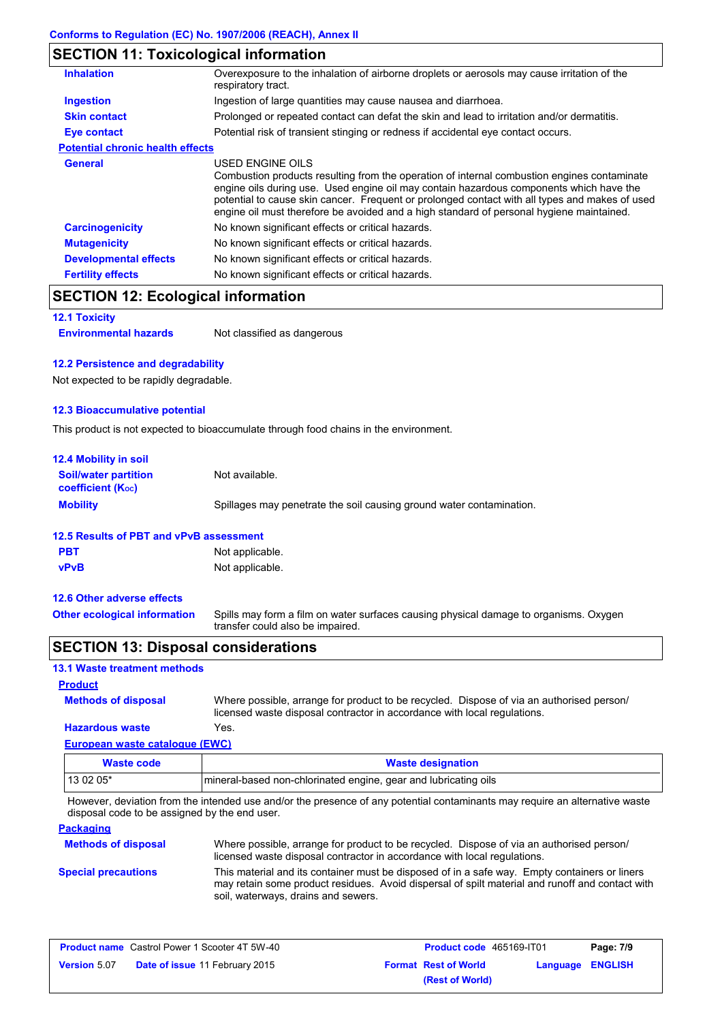# **SECTION 11: Toxicological information**

| <b>Inhalation</b>                       | Overexposure to the inhalation of airborne droplets or aerosols may cause irritation of the<br>respiratory tract.                                                                                                                                                                                                                                                                                        |
|-----------------------------------------|----------------------------------------------------------------------------------------------------------------------------------------------------------------------------------------------------------------------------------------------------------------------------------------------------------------------------------------------------------------------------------------------------------|
| <b>Ingestion</b>                        | Ingestion of large quantities may cause nausea and diarrhoea.                                                                                                                                                                                                                                                                                                                                            |
| <b>Skin contact</b>                     | Prolonged or repeated contact can defat the skin and lead to irritation and/or dermatitis.                                                                                                                                                                                                                                                                                                               |
| Eye contact                             | Potential risk of transient stinging or redness if accidental eye contact occurs.                                                                                                                                                                                                                                                                                                                        |
| <b>Potential chronic health effects</b> |                                                                                                                                                                                                                                                                                                                                                                                                          |
| General                                 | USED ENGINE OILS<br>Combustion products resulting from the operation of internal combustion engines contaminate<br>engine oils during use. Used engine oil may contain hazardous components which have the<br>potential to cause skin cancer. Frequent or prolonged contact with all types and makes of used<br>engine oil must therefore be avoided and a high standard of personal hygiene maintained. |
| <b>Carcinogenicity</b>                  | No known significant effects or critical hazards.                                                                                                                                                                                                                                                                                                                                                        |
| <b>Mutagenicity</b>                     | No known significant effects or critical hazards.                                                                                                                                                                                                                                                                                                                                                        |
| <b>Developmental effects</b>            | No known significant effects or critical hazards.                                                                                                                                                                                                                                                                                                                                                        |
| <b>Fertility effects</b>                | No known significant effects or critical hazards.                                                                                                                                                                                                                                                                                                                                                        |

# **SECTION 12: Ecological information**

**12.1 Toxicity**

**Environmental hazards** Not classified as dangerous

#### **12.2 Persistence and degradability**

Not expected to be rapidly degradable.

#### **12.3 Bioaccumulative potential**

This product is not expected to bioaccumulate through food chains in the environment.

| <b>12.4 Mobility in soil</b>                                  |                                                                      |
|---------------------------------------------------------------|----------------------------------------------------------------------|
| <b>Soil/water partition</b><br>coefficient (K <sub>oc</sub> ) | Not available.                                                       |
| <b>Mobility</b>                                               | Spillages may penetrate the soil causing ground water contamination. |

### **12.5 Results of PBT and vPvB assessment**

| <b>PBT</b>  | Not applicable. |
|-------------|-----------------|
| <b>vPvB</b> | Not applicable. |

#### **12.6 Other adverse effects**

Spills may form a film on water surfaces causing physical damage to organisms. Oxygen transfer could also be impaired. **Other ecological information**

## **SECTION 13: Disposal considerations**

| <b>13.1 Waste treatment methods</b>   |                                                                                                                                                                      |
|---------------------------------------|----------------------------------------------------------------------------------------------------------------------------------------------------------------------|
| <b>Product</b>                        |                                                                                                                                                                      |
| <b>Methods of disposal</b>            | Where possible, arrange for product to be recycled. Dispose of via an authorised person/<br>licensed waste disposal contractor in accordance with local regulations. |
| <b>Hazardous waste</b>                | Yes.                                                                                                                                                                 |
| <b>European waste catalogue (EWC)</b> |                                                                                                                                                                      |
| <b>Waste code</b>                     | <b>Waste designation</b>                                                                                                                                             |
| 13 02 05*                             | mineral-based non-chlorinated engine, gear and lubricating oils                                                                                                      |

However, deviation from the intended use and/or the presence of any potential contaminants may require an alternative waste disposal code to be assigned by the end user.

| <b>Packaging</b>           |                                                                                                                                                                                                                                         |
|----------------------------|-----------------------------------------------------------------------------------------------------------------------------------------------------------------------------------------------------------------------------------------|
| <b>Methods of disposal</b> | Where possible, arrange for product to be recycled. Dispose of via an authorised person/<br>licensed waste disposal contractor in accordance with local regulations.                                                                    |
| <b>Special precautions</b> | This material and its container must be disposed of in a safe way. Empty containers or liners<br>may retain some product residues. Avoid dispersal of spilt material and runoff and contact with<br>soil, waterways, drains and sewers. |

|                     | <b>Product name</b> Castrol Power 1 Scooter 4T 5W-40 | Product code 465169-IT01    |                         | Page: 7/9 |
|---------------------|------------------------------------------------------|-----------------------------|-------------------------|-----------|
| <b>Version 5.07</b> | <b>Date of issue 11 February 2015</b>                | <b>Format Rest of World</b> | <b>Language ENGLISH</b> |           |
|                     |                                                      | (Rest of World)             |                         |           |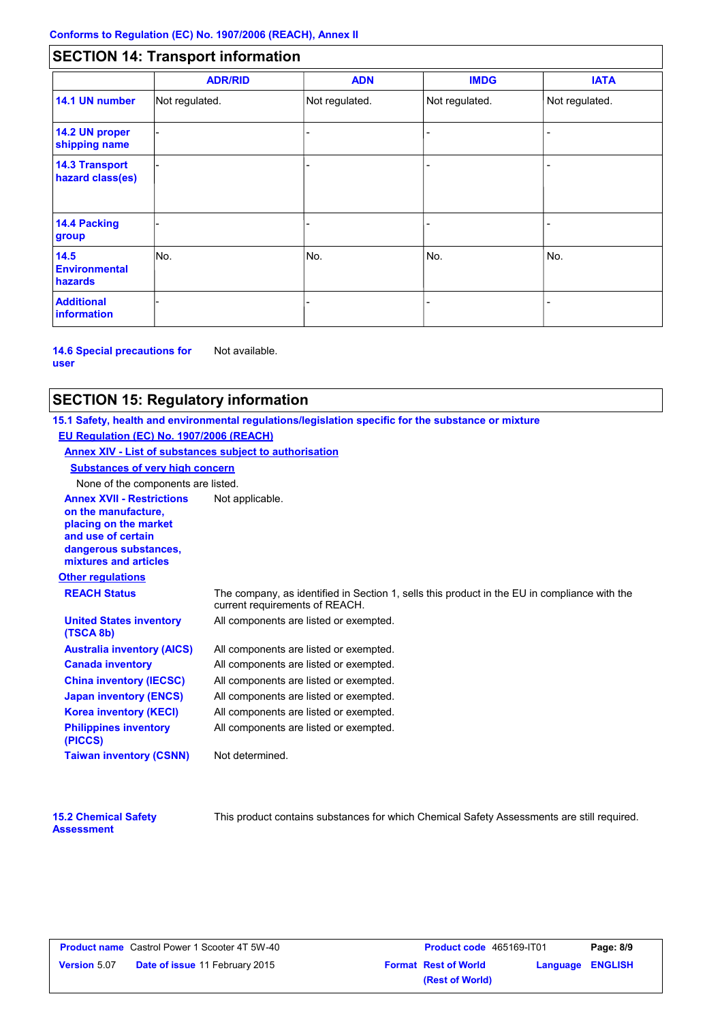# **SECTION 14: Transport information**

|                                           | <b>ADR/RID</b> | <b>ADN</b>     | <b>IMDG</b>    | <b>IATA</b>    |
|-------------------------------------------|----------------|----------------|----------------|----------------|
| 14.1 UN number                            | Not regulated. | Not regulated. | Not regulated. | Not regulated. |
| 14.2 UN proper<br>shipping name           |                |                |                |                |
| <b>14.3 Transport</b><br>hazard class(es) |                |                |                |                |
| 14.4 Packing<br>group                     |                |                |                |                |
| 14.5<br><b>Environmental</b><br>hazards   | No.            | No.            | No.            | No.            |
| <b>Additional</b><br><b>information</b>   |                |                |                |                |

**14.6 Special precautions for user** Not available.

#### **SECTION 15: Regulatory information**

**Other regulations Annex XVII - Restrictions** Not applicable. **on the manufacture, placing on the market and use of certain dangerous substances, mixtures and articles REACH Status** The company, as identified in Section 1, sells this product in the EU in compliance with the current requirements of REACH. **15.1 Safety, health and environmental regulations/legislation specific for the substance or mixture EU Regulation (EC) No. 1907/2006 (REACH) Annex XIV - List of substances subject to authorisation Substances of very high concern** None of the components are listed. All components are listed or exempted. All components are listed or exempted. All components are listed or exempted. All components are listed or exempted. All components are listed or exempted. All components are listed or exempted. All components are listed or exempted. **United States inventory (TSCA 8b) Australia inventory (AICS) Canada inventory China inventory (IECSC) Japan inventory (ENCS) Korea inventory (KECI) Philippines inventory (PICCS) Taiwan inventory (CSNN)** Not determined.

| <b>15.2 Chemical Safety</b> |  |
|-----------------------------|--|
| <b>Assessment</b>           |  |

This product contains substances for which Chemical Safety Assessments are still required.